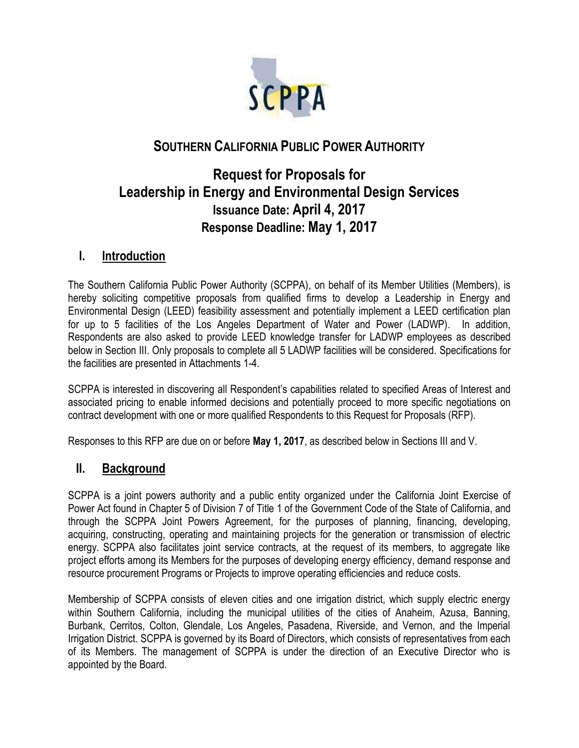

# **SOUTHERN CALIFORNIA PUBLIC POWER AUTHORITY**

# **Request for Proposals for Leadership in Energy and Environmental Design Services Issuance Date: April 4, 2017 Response Deadline: May 1, 2017**

# **I. Introduction**

The Southern California Public Power Authority (SCPPA), on behalf of its Member Utilities (Members), is hereby soliciting competitive proposals from qualified firms to develop a Leadership in Energy and Environmental Design (LEED) feasibility assessment and potentially implement a LEED certification plan for up to 5 facilities of the Los Angeles Department of Water and Power (LADWP). In addition, Respondents are also asked to provide LEED knowledge transfer for LADWP employees as described below in Section III. Only proposals to complete all 5 LADWP facilities will be considered. Specifications for the facilities are presented in Attachments 1-4.

SCPPA is interested in discovering all Respondent"s capabilities related to specified Areas of Interest and associated pricing to enable informed decisions and potentially proceed to more specific negotiations on contract development with one or more qualified Respondents to this Request for Proposals (RFP).

Responses to this RFP are due on or before **May 1, 2017**, as described below in Sections III and V.

### **II. Background**

SCPPA is a joint powers authority and a public entity organized under the California Joint Exercise of Power Act found in Chapter 5 of Division 7 of Title 1 of the Government Code of the State of California, and through the SCPPA Joint Powers Agreement, for the purposes of planning, financing, developing, acquiring, constructing, operating and maintaining projects for the generation or transmission of electric energy. SCPPA also facilitates joint service contracts, at the request of its members, to aggregate like project efforts among its Members for the purposes of developing energy efficiency, demand response and resource procurement Programs or Projects to improve operating efficiencies and reduce costs.

Membership of SCPPA consists of eleven cities and one irrigation district, which supply electric energy within Southern California, including the municipal utilities of the cities of Anaheim, Azusa, Banning, Burbank, Cerritos, Colton, Glendale, Los Angeles, Pasadena, Riverside, and Vernon, and the Imperial Irrigation District. SCPPA is governed by its Board of Directors, which consists of representatives from each of its Members. The management of SCPPA is under the direction of an Executive Director who is appointed by the Board.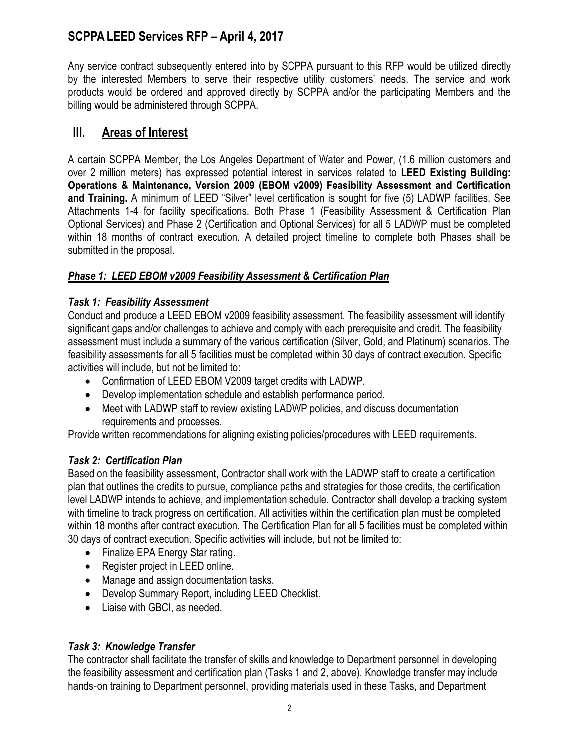Any service contract subsequently entered into by SCPPA pursuant to this RFP would be utilized directly by the interested Members to serve their respective utility customers' needs. The service and work products would be ordered and approved directly by SCPPA and/or the participating Members and the billing would be administered through SCPPA.

# **III. Areas of Interest**

A certain SCPPA Member, the Los Angeles Department of Water and Power, (1.6 million customers and over 2 million meters) has expressed potential interest in services related to **LEED Existing Building: Operations & Maintenance, Version 2009 (EBOM v2009) Feasibility Assessment and Certification and Training.** A minimum of LEED "Silver" level certification is sought for five (5) LADWP facilities. See Attachments 1-4 for facility specifications. Both Phase 1 (Feasibility Assessment & Certification Plan Optional Services) and Phase 2 (Certification and Optional Services) for all 5 LADWP must be completed within 18 months of contract execution. A detailed project timeline to complete both Phases shall be submitted in the proposal.

### *Phase 1: LEED EBOM v2009 Feasibility Assessment & Certification Plan*

#### *Task 1: Feasibility Assessment*

Conduct and produce a LEED EBOM v2009 feasibility assessment. The feasibility assessment will identify significant gaps and/or challenges to achieve and comply with each prerequisite and credit. The feasibility assessment must include a summary of the various certification (Silver, Gold, and Platinum) scenarios. The feasibility assessments for all 5 facilities must be completed within 30 days of contract execution. Specific activities will include, but not be limited to:

- Confirmation of LEED EBOM V2009 target credits with LADWP.
- Develop implementation schedule and establish performance period.
- Meet with LADWP staff to review existing LADWP policies, and discuss documentation requirements and processes.

Provide written recommendations for aligning existing policies/procedures with LEED requirements.

### *Task 2: Certification Plan*

Based on the feasibility assessment, Contractor shall work with the LADWP staff to create a certification plan that outlines the credits to pursue, compliance paths and strategies for those credits, the certification level LADWP intends to achieve, and implementation schedule. Contractor shall develop a tracking system with timeline to track progress on certification. All activities within the certification plan must be completed within 18 months after contract execution. The Certification Plan for all 5 facilities must be completed within 30 days of contract execution. Specific activities will include, but not be limited to:

- Finalize EPA Energy Star rating.
- Register project in LEED online.
- Manage and assign documentation tasks.
- Develop Summary Report, including LEED Checklist.
- Liaise with GBCI, as needed.

### *Task 3: Knowledge Transfer*

The contractor shall facilitate the transfer of skills and knowledge to Department personnel in developing the feasibility assessment and certification plan (Tasks 1 and 2, above). Knowledge transfer may include hands‐on training to Department personnel, providing materials used in these Tasks, and Department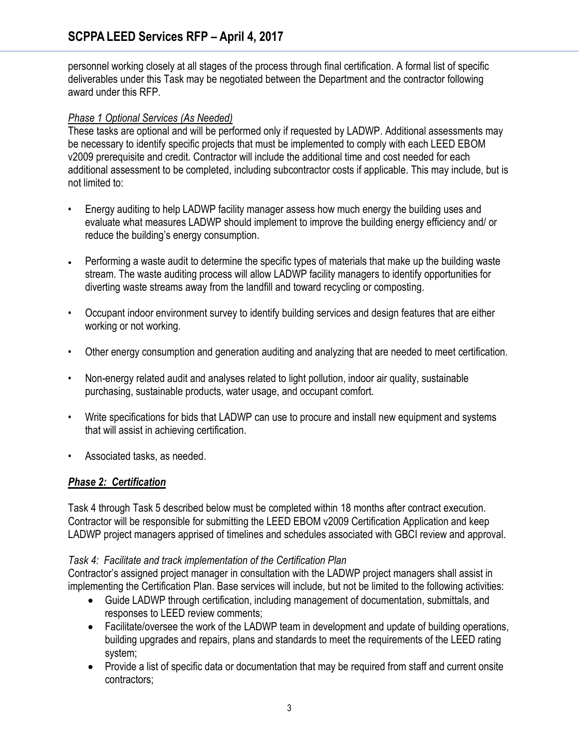personnel working closely at all stages of the process through final certification. A formal list of specific deliverables under this Task may be negotiated between the Department and the contractor following award under this RFP.

### *Phase 1 Optional Services (As Needed)*

These tasks are optional and will be performed only if requested by LADWP. Additional assessments may be necessary to identify specific projects that must be implemented to comply with each LEED EBOM v2009 prerequisite and credit. Contractor will include the additional time and cost needed for each additional assessment to be completed, including subcontractor costs if applicable. This may include, but is not limited to:

- Energy auditing to help LADWP facility manager assess how much energy the building uses and evaluate what measures LADWP should implement to improve the building energy efficiency and/ or reduce the building's energy consumption.
- Performing a waste audit to determine the specific types of materials that make up the building waste stream. The waste auditing process will allow LADWP facility managers to identify opportunities for diverting waste streams away from the landfill and toward recycling or composting.
- Occupant indoor environment survey to identify building services and design features that are either working or not working.
- Other energy consumption and generation auditing and analyzing that are needed to meet certification.
- Non-energy related audit and analyses related to light pollution, indoor air quality, sustainable purchasing, sustainable products, water usage, and occupant comfort.
- Write specifications for bids that LADWP can use to procure and install new equipment and systems that will assist in achieving certification.
- Associated tasks, as needed.

### *Phase 2: Certification*

Task 4 through Task 5 described below must be completed within 18 months after contract execution. Contractor will be responsible for submitting the LEED EBOM v2009 Certification Application and keep LADWP project managers apprised of timelines and schedules associated with GBCI review and approval.

#### *Task 4: Facilitate and track implementation of the Certification Plan*

Contractor"s assigned project manager in consultation with the LADWP project managers shall assist in implementing the Certification Plan. Base services will include, but not be limited to the following activities:

- Guide LADWP through certification, including management of documentation, submittals, and responses to LEED review comments;
- Facilitate/oversee the work of the LADWP team in development and update of building operations, building upgrades and repairs, plans and standards to meet the requirements of the LEED rating system;
- Provide a list of specific data or documentation that may be required from staff and current onsite contractors;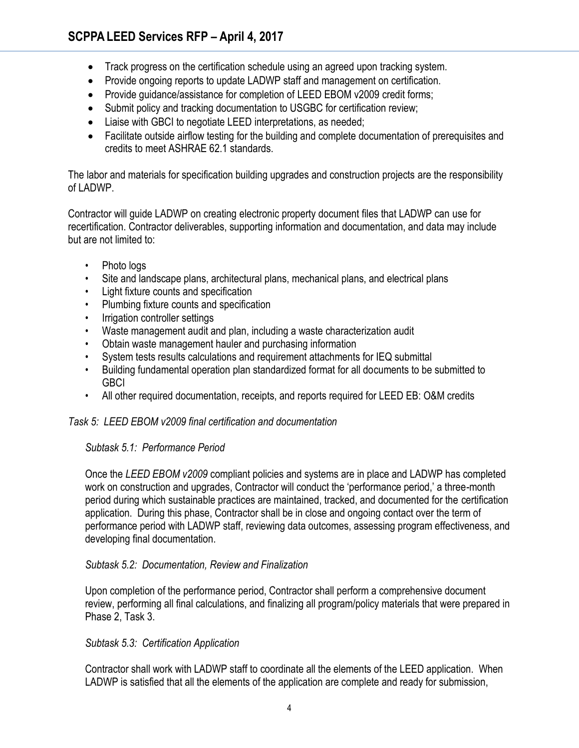- Track progress on the certification schedule using an agreed upon tracking system.
- Provide ongoing reports to update LADWP staff and management on certification.
- Provide quidance/assistance for completion of LEED EBOM v2009 credit forms;
- Submit policy and tracking documentation to USGBC for certification review;
- Liaise with GBCI to negotiate LEED interpretations, as needed;
- Facilitate outside airflow testing for the building and complete documentation of prerequisites and credits to meet ASHRAE 62.1 standards.

The labor and materials for specification building upgrades and construction projects are the responsibility of LADWP.

Contractor will guide LADWP on creating electronic property document files that LADWP can use for recertification. Contractor deliverables, supporting information and documentation, and data may include but are not limited to:

- Photo logs
- Site and landscape plans, architectural plans, mechanical plans, and electrical plans
- Light fixture counts and specification
- Plumbing fixture counts and specification
- Irrigation controller settings
- Waste management audit and plan, including a waste characterization audit
- Obtain waste management hauler and purchasing information
- System tests results calculations and requirement attachments for IEQ submittal
- Building fundamental operation plan standardized format for all documents to be submitted to GBCI
- All other required documentation, receipts, and reports required for LEED EB: O&M credits

#### *Task 5: LEED EBOM v2009 final certification and documentation*

#### *Subtask 5.1: Performance Period*

Once the *LEED EBOM v2009* compliant policies and systems are in place and LADWP has completed work on construction and upgrades, Contractor will conduct the "performance period," a three-month period during which sustainable practices are maintained, tracked, and documented for the certification application. During this phase, Contractor shall be in close and ongoing contact over the term of performance period with LADWP staff, reviewing data outcomes, assessing program effectiveness, and developing final documentation.

#### *Subtask 5.2: Documentation, Review and Finalization*

Upon completion of the performance period, Contractor shall perform a comprehensive document review, performing all final calculations, and finalizing all program/policy materials that were prepared in Phase 2, Task 3.

#### *Subtask 5.3: Certification Application*

Contractor shall work with LADWP staff to coordinate all the elements of the LEED application. When LADWP is satisfied that all the elements of the application are complete and ready for submission,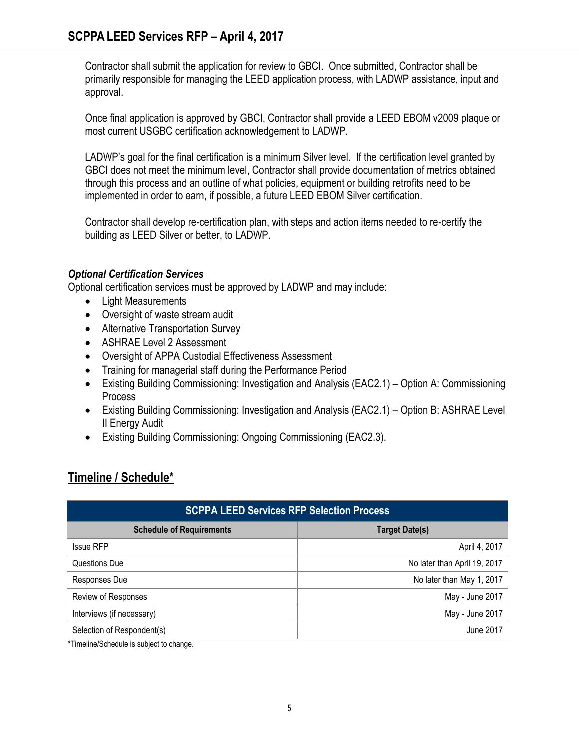Contractor shall submit the application for review to GBCI. Once submitted, Contractor shall be primarily responsible for managing the LEED application process, with LADWP assistance, input and approval.

Once final application is approved by GBCI, Contractor shall provide a LEED EBOM v2009 plaque or most current USGBC certification acknowledgement to LADWP.

LADWP's goal for the final certification is a minimum Silver level. If the certification level granted by GBCI does not meet the minimum level, Contractor shall provide documentation of metrics obtained through this process and an outline of what policies, equipment or building retrofits need to be implemented in order to earn, if possible, a future LEED EBOM Silver certification.

Contractor shall develop re-certification plan, with steps and action items needed to re-certify the building as LEED Silver or better, to LADWP.

#### *Optional Certification Services*

Optional certification services must be approved by LADWP and may include:

- Light Measurements
- Oversight of waste stream audit
- Alternative Transportation Survey
- ASHRAE Level 2 Assessment
- Oversight of APPA Custodial Effectiveness Assessment
- Training for managerial staff during the Performance Period
- Existing Building Commissioning: Investigation and Analysis (EAC2.1) Option A: Commissioning Process
- Existing Building Commissioning: Investigation and Analysis (EAC2.1) Option B: ASHRAE Level II Energy Audit
- Existing Building Commissioning: Ongoing Commissioning (EAC2.3).

# **Timeline / Schedule\***

| <b>SCPPA LEED Services RFP Selection Process</b> |                              |
|--------------------------------------------------|------------------------------|
| <b>Schedule of Requirements</b>                  | <b>Target Date(s)</b>        |
| <b>Issue RFP</b>                                 | April 4, 2017                |
| Questions Due                                    | No later than April 19, 2017 |
| Responses Due                                    | No later than May 1, 2017    |
| Review of Responses                              | May - June 2017              |
| Interviews (if necessary)                        | May - June 2017              |
| Selection of Respondent(s)                       | June 2017                    |

**\***Timeline/Schedule is subject to change.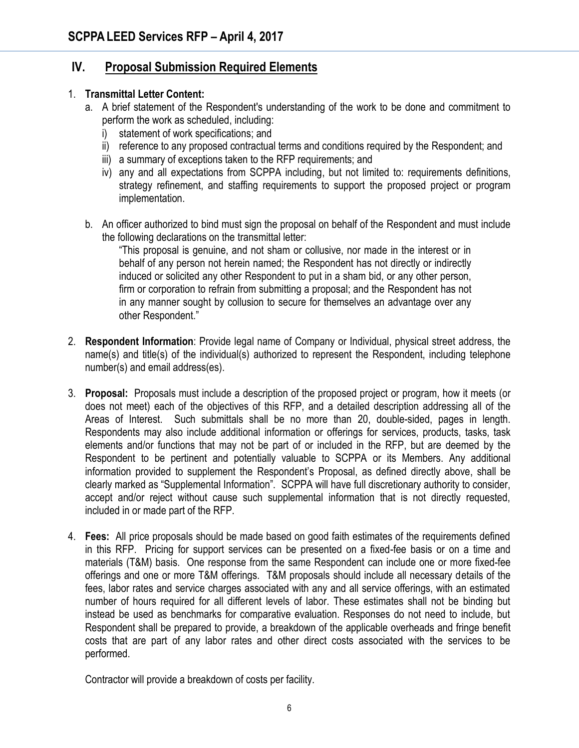# **IV. Proposal Submission Required Elements**

#### 1. **Transmittal Letter Content:**

- a. A brief statement of the Respondent's understanding of the work to be done and commitment to perform the work as scheduled, including:
	- i) statement of work specifications; and
	- ii) reference to any proposed contractual terms and conditions required by the Respondent; and
	- iii) a summary of exceptions taken to the RFP requirements; and
	- iv) any and all expectations from SCPPA including, but not limited to: requirements definitions, strategy refinement, and staffing requirements to support the proposed project or program implementation.
- b. An officer authorized to bind must sign the proposal on behalf of the Respondent and must include the following declarations on the transmittal letter:

"This proposal is genuine, and not sham or collusive, nor made in the interest or in behalf of any person not herein named; the Respondent has not directly or indirectly induced or solicited any other Respondent to put in a sham bid, or any other person, firm or corporation to refrain from submitting a proposal; and the Respondent has not in any manner sought by collusion to secure for themselves an advantage over any other Respondent."

- 2. **Respondent Information**: Provide legal name of Company or Individual, physical street address, the name(s) and title(s) of the individual(s) authorized to represent the Respondent, including telephone number(s) and email address(es).
- 3. **Proposal:** Proposals must include a description of the proposed project or program, how it meets (or does not meet) each of the objectives of this RFP, and a detailed description addressing all of the Areas of Interest. Such submittals shall be no more than 20, double-sided, pages in length. Respondents may also include additional information or offerings for services, products, tasks, task elements and/or functions that may not be part of or included in the RFP, but are deemed by the Respondent to be pertinent and potentially valuable to SCPPA or its Members. Any additional information provided to supplement the Respondent"s Proposal, as defined directly above, shall be clearly marked as "Supplemental Information". SCPPA will have full discretionary authority to consider, accept and/or reject without cause such supplemental information that is not directly requested, included in or made part of the RFP.
- 4. **Fees:** All price proposals should be made based on good faith estimates of the requirements defined in this RFP. Pricing for support services can be presented on a fixed-fee basis or on a time and materials (T&M) basis. One response from the same Respondent can include one or more fixed-fee offerings and one or more T&M offerings. T&M proposals should include all necessary details of the fees, labor rates and service charges associated with any and all service offerings, with an estimated number of hours required for all different levels of labor. These estimates shall not be binding but instead be used as benchmarks for comparative evaluation. Responses do not need to include, but Respondent shall be prepared to provide, a breakdown of the applicable overheads and fringe benefit costs that are part of any labor rates and other direct costs associated with the services to be performed.

Contractor will provide a breakdown of costs per facility.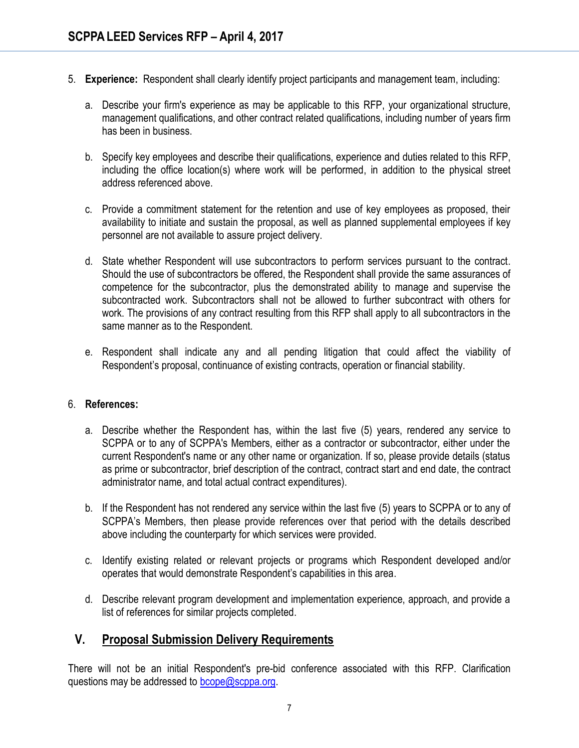- 5. **Experience:** Respondent shall clearly identify project participants and management team, including:
	- a. Describe your firm's experience as may be applicable to this RFP, your organizational structure, management qualifications, and other contract related qualifications, including number of years firm has been in business.
	- b. Specify key employees and describe their qualifications, experience and duties related to this RFP, including the office location(s) where work will be performed, in addition to the physical street address referenced above.
	- c. Provide a commitment statement for the retention and use of key employees as proposed, their availability to initiate and sustain the proposal, as well as planned supplemental employees if key personnel are not available to assure project delivery.
	- d. State whether Respondent will use subcontractors to perform services pursuant to the contract. Should the use of subcontractors be offered, the Respondent shall provide the same assurances of competence for the subcontractor, plus the demonstrated ability to manage and supervise the subcontracted work. Subcontractors shall not be allowed to further subcontract with others for work. The provisions of any contract resulting from this RFP shall apply to all subcontractors in the same manner as to the Respondent.
	- e. Respondent shall indicate any and all pending litigation that could affect the viability of Respondent"s proposal, continuance of existing contracts, operation or financial stability.

#### 6. **References:**

- a. Describe whether the Respondent has, within the last five (5) years, rendered any service to SCPPA or to any of SCPPA's Members, either as a contractor or subcontractor, either under the current Respondent's name or any other name or organization. If so, please provide details (status as prime or subcontractor, brief description of the contract, contract start and end date, the contract administrator name, and total actual contract expenditures).
- b. If the Respondent has not rendered any service within the last five (5) years to SCPPA or to any of SCPPA's Members, then please provide references over that period with the details described above including the counterparty for which services were provided.
- c. Identify existing related or relevant projects or programs which Respondent developed and/or operates that would demonstrate Respondent"s capabilities in this area.
- d. Describe relevant program development and implementation experience, approach, and provide a list of references for similar projects completed.

### **V. Proposal Submission Delivery Requirements**

There will not be an initial Respondent's pre-bid conference associated with this RFP. Clarification questions may be addressed to [bcope@scppa.org.](mailto:bcope@scppa.org)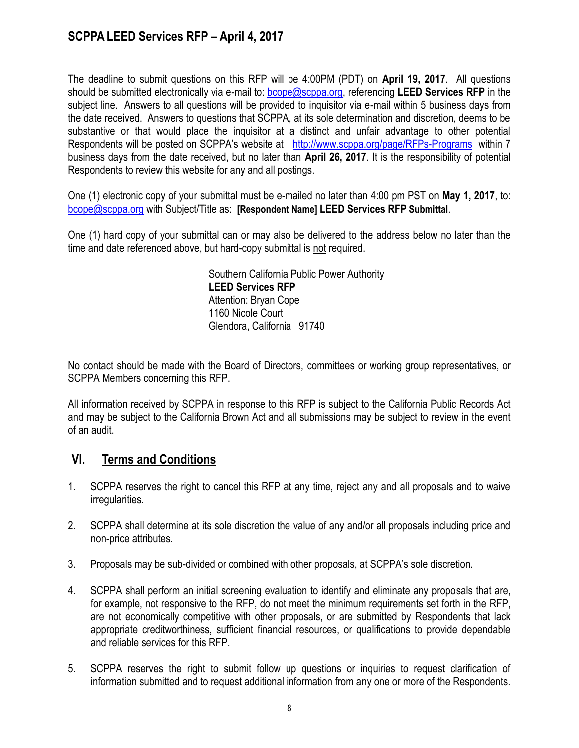The deadline to submit questions on this RFP will be 4:00PM (PDT) on **April 19, 2017**. All questions should be submitted electronically via e-mail to: [bcope@scppa.org,](file://app-server/data/RFPs_RFQs_RFIs/Public%20Benefits%20Committee/Paperless%20Rebate%20Automation/RFP/bcope@scppa.org) referencing **LEED Services RFP** in the subject line. Answers to all questions will be provided to inquisitor via e-mail within 5 business days from the date received. Answers to questions that SCPPA, at its sole determination and discretion, deems to be substantive or that would place the inquisitor at a distinct and unfair advantage to other potential Respondents will be posted on SCPPA's website at <http://www.scppa.org/page/RFPs-Programs>within 7 business days from the date received, but no later than **April 26, 2017**. It is the responsibility of potential Respondents to review this website for any and all postings.

One (1) electronic copy of your submittal must be e-mailed no later than 4:00 pm PST on **May 1, 2017**, to: [bcope@scppa.org](mailto:bcope@scppa.org) with Subject/Title as: **[Respondent Name] LEED Services RFP Submittal**.

One (1) hard copy of your submittal can or may also be delivered to the address below no later than the time and date referenced above, but hard-copy submittal is not required.

> Southern California Public Power Authority **LEED Services RFP** Attention: Bryan Cope 1160 Nicole Court Glendora, California 91740

No contact should be made with the Board of Directors, committees or working group representatives, or SCPPA Members concerning this RFP.

All information received by SCPPA in response to this RFP is subject to the California Public Records Act and may be subject to the California Brown Act and all submissions may be subject to review in the event of an audit.

### **VI. Terms and Conditions**

- 1. SCPPA reserves the right to cancel this RFP at any time, reject any and all proposals and to waive irregularities.
- 2. SCPPA shall determine at its sole discretion the value of any and/or all proposals including price and non-price attributes.
- 3. Proposals may be sub-divided or combined with other proposals, at SCPPA"s sole discretion.
- 4. SCPPA shall perform an initial screening evaluation to identify and eliminate any proposals that are, for example, not responsive to the RFP, do not meet the minimum requirements set forth in the RFP, are not economically competitive with other proposals, or are submitted by Respondents that lack appropriate creditworthiness, sufficient financial resources, or qualifications to provide dependable and reliable services for this RFP.
- 5. SCPPA reserves the right to submit follow up questions or inquiries to request clarification of information submitted and to request additional information from any one or more of the Respondents.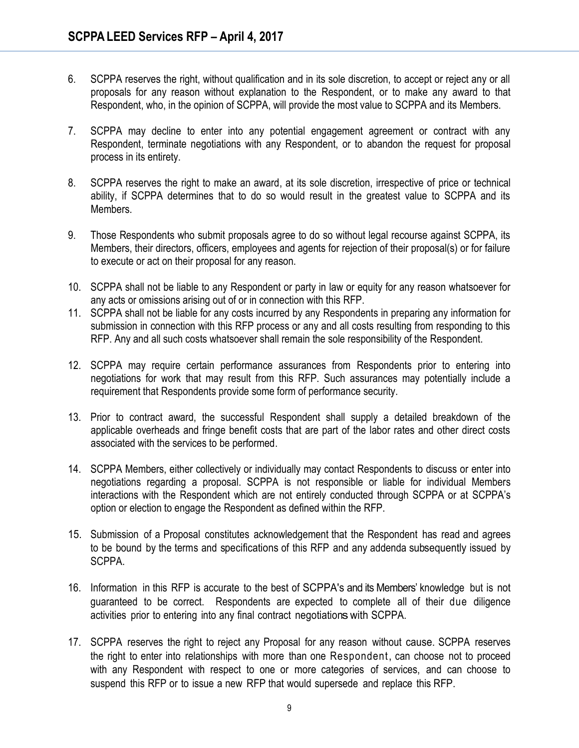- 6. SCPPA reserves the right, without qualification and in its sole discretion, to accept or reject any or all proposals for any reason without explanation to the Respondent, or to make any award to that Respondent, who, in the opinion of SCPPA, will provide the most value to SCPPA and its Members.
- 7. SCPPA may decline to enter into any potential engagement agreement or contract with any Respondent, terminate negotiations with any Respondent, or to abandon the request for proposal process in its entirety.
- 8. SCPPA reserves the right to make an award, at its sole discretion, irrespective of price or technical ability, if SCPPA determines that to do so would result in the greatest value to SCPPA and its Members.
- 9. Those Respondents who submit proposals agree to do so without legal recourse against SCPPA, its Members, their directors, officers, employees and agents for rejection of their proposal(s) or for failure to execute or act on their proposal for any reason.
- 10. SCPPA shall not be liable to any Respondent or party in law or equity for any reason whatsoever for any acts or omissions arising out of or in connection with this RFP.
- 11. SCPPA shall not be liable for any costs incurred by any Respondents in preparing any information for submission in connection with this RFP process or any and all costs resulting from responding to this RFP. Any and all such costs whatsoever shall remain the sole responsibility of the Respondent.
- 12. SCPPA may require certain performance assurances from Respondents prior to entering into negotiations for work that may result from this RFP. Such assurances may potentially include a requirement that Respondents provide some form of performance security.
- 13. Prior to contract award, the successful Respondent shall supply a detailed breakdown of the applicable overheads and fringe benefit costs that are part of the labor rates and other direct costs associated with the services to be performed.
- 14. SCPPA Members, either collectively or individually may contact Respondents to discuss or enter into negotiations regarding a proposal. SCPPA is not responsible or liable for individual Members interactions with the Respondent which are not entirely conducted through SCPPA or at SCPPA"s option or election to engage the Respondent as defined within the RFP.
- 15. Submission of a Proposal constitutes acknowledgement that the Respondent has read and agrees to be bound by the terms and specifications of this RFP and any addenda subsequently issued by SCPPA.
- 16. Information in this RFP is accurate to the best of SCPPA's and its Members" knowledge but is not guaranteed to be correct. Respondents are expected to complete all of their due diligence activities prior to entering into any final contract negotiations with SCPPA.
- 17. SCPPA reserves the right to reject any Proposal for any reason without cause. SCPPA reserves the right to enter into relationships with more than one Respondent, can choose not to proceed with any Respondent with respect to one or more categories of services, and can choose to suspend this RFP or to issue a new RFP that would supersede and replace this RFP.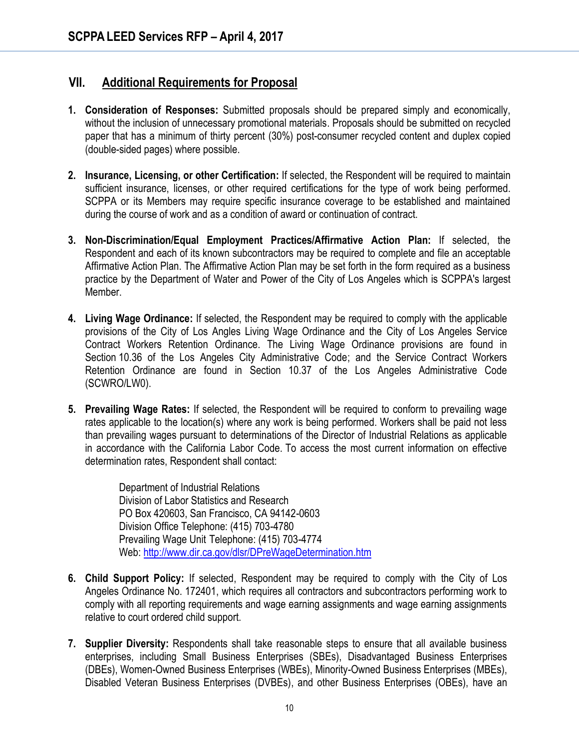## **VII. Additional Requirements for Proposal**

- **1. Consideration of Responses:** Submitted proposals should be prepared simply and economically, without the inclusion of unnecessary promotional materials. Proposals should be submitted on recycled paper that has a minimum of thirty percent (30%) post-consumer recycled content and duplex copied (double-sided pages) where possible.
- **2. Insurance, Licensing, or other Certification:** If selected, the Respondent will be required to maintain sufficient insurance, licenses, or other required certifications for the type of work being performed. SCPPA or its Members may require specific insurance coverage to be established and maintained during the course of work and as a condition of award or continuation of contract.
- **3. Non-Discrimination/Equal Employment Practices/Affirmative Action Plan:** If selected, the Respondent and each of its known subcontractors may be required to complete and file an acceptable Affirmative Action Plan. The Affirmative Action Plan may be set forth in the form required as a business practice by the Department of Water and Power of the City of Los Angeles which is SCPPA's largest Member.
- **4. Living Wage Ordinance:** If selected, the Respondent may be required to comply with the applicable provisions of the City of Los Angles Living Wage Ordinance and the City of Los Angeles Service Contract Workers Retention Ordinance. The Living Wage Ordinance provisions are found in Section 10.36 of the Los Angeles City Administrative Code; and the Service Contract Workers Retention Ordinance are found in Section 10.37 of the Los Angeles Administrative Code (SCWRO/LW0).
- **5. Prevailing Wage Rates:** If selected, the Respondent will be required to conform to prevailing wage rates applicable to the location(s) where any work is being performed. Workers shall be paid not less than prevailing wages pursuant to determinations of the Director of Industrial Relations as applicable in accordance with the California Labor Code. To access the most current information on effective determination rates, Respondent shall contact:

Department of Industrial Relations Division of Labor Statistics and Research PO Box 420603, San Francisco, CA 94142-0603 Division Office Telephone: (415) 703-4780 Prevailing Wage Unit Telephone: (415) 703-4774 Web[: http://www.dir.ca.gov/dlsr/DPreWageDetermination.htm](http://www.dir.ca.gov/dlsr/DPreWageDetermination.htm)

- **6. Child Support Policy:** If selected, Respondent may be required to comply with the City of Los Angeles Ordinance No. 172401, which requires all contractors and subcontractors performing work to comply with all reporting requirements and wage earning assignments and wage earning assignments relative to court ordered child support.
- **7. Supplier Diversity:** Respondents shall take reasonable steps to ensure that all available business enterprises, including Small Business Enterprises (SBEs), Disadvantaged Business Enterprises (DBEs), Women-Owned Business Enterprises (WBEs), Minority-Owned Business Enterprises (MBEs), Disabled Veteran Business Enterprises (DVBEs), and other Business Enterprises (OBEs), have an